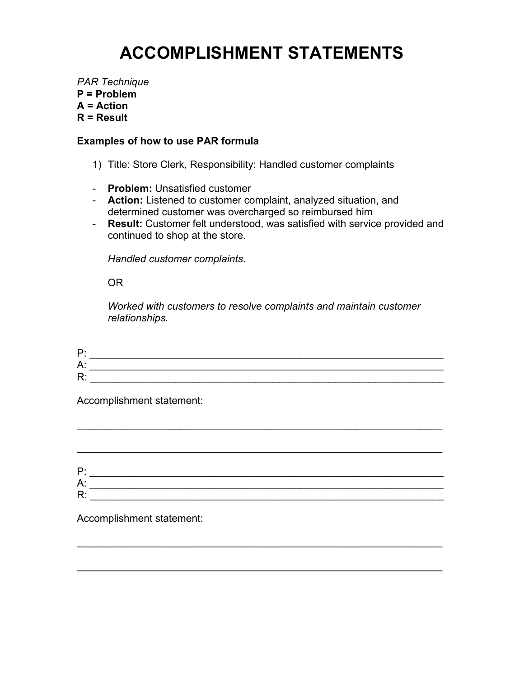# **ACCOMPLISHMENT STATEMENTS**

*PAR Technique*  **P = Problem A = Action R = Result** 

### **Examples of how to use PAR formula**

- 1) Title: Store Clerk, Responsibility: Handled customer complaints
- **Problem:** Unsatisfied customer
- **Action:** Listened to customer complaint, analyzed situation, and determined customer was overcharged so reimbursed him
- **Result:** Customer felt understood, was satisfied with service provided and continued to shop at the store.

*Handled customer complaints.* 

OR

*Worked with customers to resolve complaints and maintain customer relationships.* 

| D             |  |
|---------------|--|
| Δ<br>_<br>. . |  |
| D<br>-        |  |

Accomplishment statement:

| Þ۰ |  |
|----|--|
| А: |  |
| R٠ |  |

\_\_\_\_\_\_\_\_\_\_\_\_\_\_\_\_\_\_\_\_\_\_\_\_\_\_\_\_\_\_\_\_\_\_\_\_\_\_\_\_\_\_\_\_\_\_\_\_\_\_\_\_\_\_\_\_\_\_\_\_\_\_\_\_

 $\mathcal{L}_\text{max}$  and  $\mathcal{L}_\text{max}$  and  $\mathcal{L}_\text{max}$  and  $\mathcal{L}_\text{max}$  and  $\mathcal{L}_\text{max}$  and  $\mathcal{L}_\text{max}$ 

\_\_\_\_\_\_\_\_\_\_\_\_\_\_\_\_\_\_\_\_\_\_\_\_\_\_\_\_\_\_\_\_\_\_\_\_\_\_\_\_\_\_\_\_\_\_\_\_\_\_\_\_\_\_\_\_\_\_\_\_\_\_\_\_

 $\mathcal{L}_\text{max}$  and  $\mathcal{L}_\text{max}$  and  $\mathcal{L}_\text{max}$  and  $\mathcal{L}_\text{max}$  and  $\mathcal{L}_\text{max}$  and  $\mathcal{L}_\text{max}$ 

Accomplishment statement: